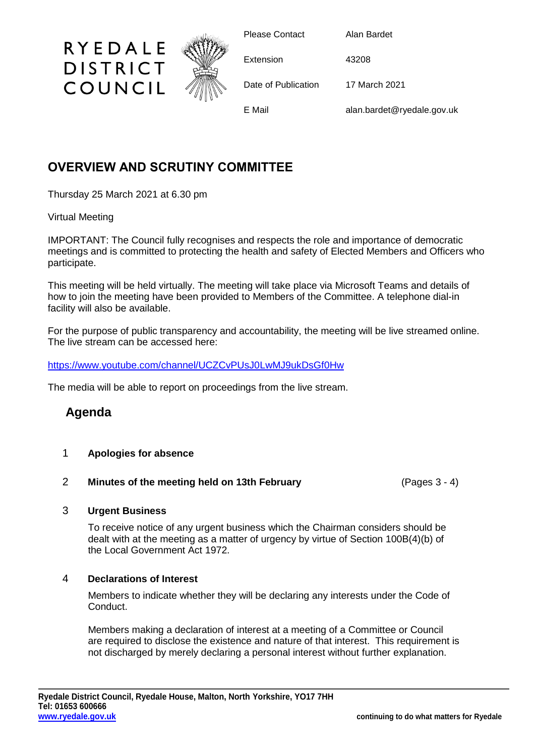

Please Contact Alan Bardet

Extension 43208

Date of Publication 17 March 2021

E Mail alan.bardet@ryedale.gov.uk

# **OVERVIEW AND SCRUTINY COMMITTEE**

Thursday 25 March 2021 at 6.30 pm

## Virtual Meeting

IMPORTANT: The Council fully recognises and respects the role and importance of democratic meetings and is committed to protecting the health and safety of Elected Members and Officers who participate.

This meeting will be held virtually. The meeting will take place via Microsoft Teams and details of how to join the meeting have been provided to Members of the Committee. A telephone dial-in facility will also be available.

For the purpose of public transparency and accountability, the meeting will be live streamed online. The live stream can be accessed here:

<https://www.youtube.com/channel/UCZCvPUsJ0LwMJ9ukDsGf0Hw>

The media will be able to report on proceedings from the live stream.

## **Agenda**

- 1 **Apologies for absence**
- 2 **Minutes of the meeting held on 13th February** (Pages 3 4)

## 3 **Urgent Business**

To receive notice of any urgent business which the Chairman considers should be dealt with at the meeting as a matter of urgency by virtue of Section 100B(4)(b) of the Local Government Act 1972.

## 4 **Declarations of Interest**

Members to indicate whether they will be declaring any interests under the Code of Conduct.

Members making a declaration of interest at a meeting of a Committee or Council are required to disclose the existence and nature of that interest. This requirement is not discharged by merely declaring a personal interest without further explanation.